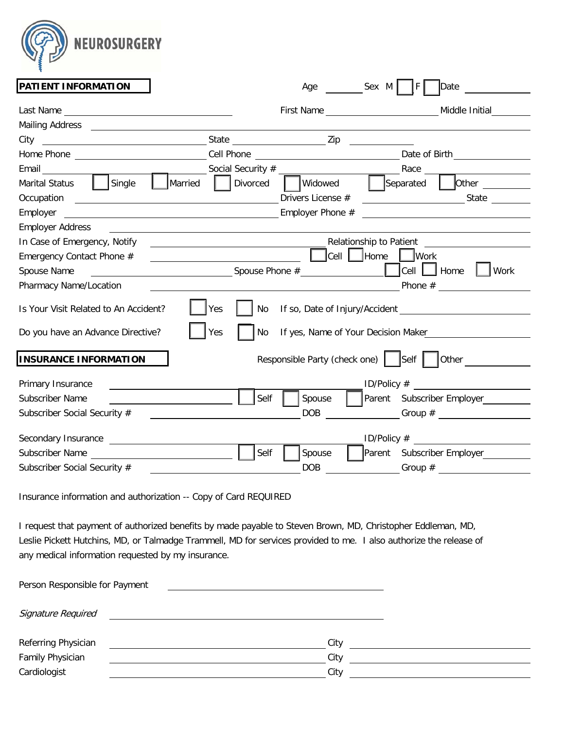

| PATIENT INFORMATION                                                                                                       |                                                                                           | Age                  | Sex M   F  <br>Date                                                                                                                                                                                                                                                                                                                                                                                                                    |
|---------------------------------------------------------------------------------------------------------------------------|-------------------------------------------------------------------------------------------|----------------------|----------------------------------------------------------------------------------------------------------------------------------------------------------------------------------------------------------------------------------------------------------------------------------------------------------------------------------------------------------------------------------------------------------------------------------------|
|                                                                                                                           |                                                                                           |                      | Middle Initial                                                                                                                                                                                                                                                                                                                                                                                                                         |
|                                                                                                                           |                                                                                           |                      |                                                                                                                                                                                                                                                                                                                                                                                                                                        |
|                                                                                                                           |                                                                                           |                      |                                                                                                                                                                                                                                                                                                                                                                                                                                        |
|                                                                                                                           |                                                                                           |                      |                                                                                                                                                                                                                                                                                                                                                                                                                                        |
|                                                                                                                           |                                                                                           |                      |                                                                                                                                                                                                                                                                                                                                                                                                                                        |
| Single<br><b>Marital Status</b>                                                                                           | Married   Divorced                                                                        | Widowed              | Separated<br>$\sqrt{\frac{1}{1-\frac{1}{1-\frac{1}{1-\frac{1}{1-\frac{1}{1-\frac{1}{1-\frac{1}{1-\frac{1}{1-\frac{1}{1-\frac{1}{1-\frac{1}{1-\frac{1}{1-\frac{1}{1-\frac{1}{1-\frac{1}{1-\frac{1}{1-\frac{1}{1-\frac{1}{1-\frac{1}{1-\frac{1}{1-\frac{1}{1-\frac{1}{1-\frac{1}{1-\frac{1}{1-\frac{1}{1-\frac{1}{1-\frac{1}{1-\frac{1}{1-\frac{1}{1-\frac{1}{1-\frac{1}{1-\frac{1}{1-\frac{1}{1-\frac{1}{1-\frac{1}{1-\frac{1}{1-\frac$ |
| Occupation                                                                                                                |                                                                                           | Drivers License #    |                                                                                                                                                                                                                                                                                                                                                                                                                                        |
| Employer<br><u> 1989 - Johann Barbara, martxa eta idazlea (h. 1989).</u>                                                  |                                                                                           | Employer Phone #     |                                                                                                                                                                                                                                                                                                                                                                                                                                        |
| <b>Employer Address</b>                                                                                                   |                                                                                           |                      |                                                                                                                                                                                                                                                                                                                                                                                                                                        |
| In Case of Emergency, Notify                                                                                              |                                                                                           |                      | Relationship to Patient                                                                                                                                                                                                                                                                                                                                                                                                                |
| Emergency Contact Phone #                                                                                                 | the control of the control of the control of the control of the control of the control of |                      | Cell Home Mork                                                                                                                                                                                                                                                                                                                                                                                                                         |
| Spouse Name<br><u> 1980 - Jan Stein Stein, fransk politik (f. 1980)</u>                                                   |                                                                                           | Spouse Phone $#$     | $ Cell $ Home<br>$\vert$ Work                                                                                                                                                                                                                                                                                                                                                                                                          |
| Pharmacy Name/Location                                                                                                    |                                                                                           |                      |                                                                                                                                                                                                                                                                                                                                                                                                                                        |
| Is Your Visit Related to An Accident?                                                                                     | Yes<br>No                                                                                 |                      | If so, Date of Injury/Accident _________                                                                                                                                                                                                                                                                                                                                                                                               |
|                                                                                                                           |                                                                                           |                      |                                                                                                                                                                                                                                                                                                                                                                                                                                        |
|                                                                                                                           | Yes<br>No                                                                                 |                      | If yes, Name of Your Decision Maker                                                                                                                                                                                                                                                                                                                                                                                                    |
| <b>INSURANCE INFORMATION</b>                                                                                              |                                                                                           |                      | Responsible Party (check one)   Self   Other                                                                                                                                                                                                                                                                                                                                                                                           |
|                                                                                                                           |                                                                                           |                      |                                                                                                                                                                                                                                                                                                                                                                                                                                        |
| Do you have an Advance Directive?<br>Primary Insurance                                                                    | Self                                                                                      |                      | ID/Policy $#$                                                                                                                                                                                                                                                                                                                                                                                                                          |
|                                                                                                                           |                                                                                           | Spouse<br><b>DOB</b> | Parent Subscriber Employer<br>$\begin{array}{c} \text{Group~\#} \end{array}$                                                                                                                                                                                                                                                                                                                                                           |
|                                                                                                                           |                                                                                           |                      | ID/Policy $#$                                                                                                                                                                                                                                                                                                                                                                                                                          |
| Subscriber Name<br>Subscriber Social Security #<br>Secondary Insurance Secondary Secondary Secondary 3<br>Subscriber Name | Self                                                                                      | Spouse               | Parent Subscriber Employer                                                                                                                                                                                                                                                                                                                                                                                                             |

Insurance information and authorization -- Copy of Card REQUIRED

I request that payment of authorized benefits by made payable to Steven Brown, MD, Christopher Eddleman, MD, Leslie Pickett Hutchins, MD, or Talmadge Trammell, MD for services provided to me. I also authorize the release of any medical information requested by my insurance.

| Person Responsible for Payment |      |  |
|--------------------------------|------|--|
| Signature Required             |      |  |
| Referring Physician            | City |  |
| Family Physician               | City |  |
| Cardiologist                   | City |  |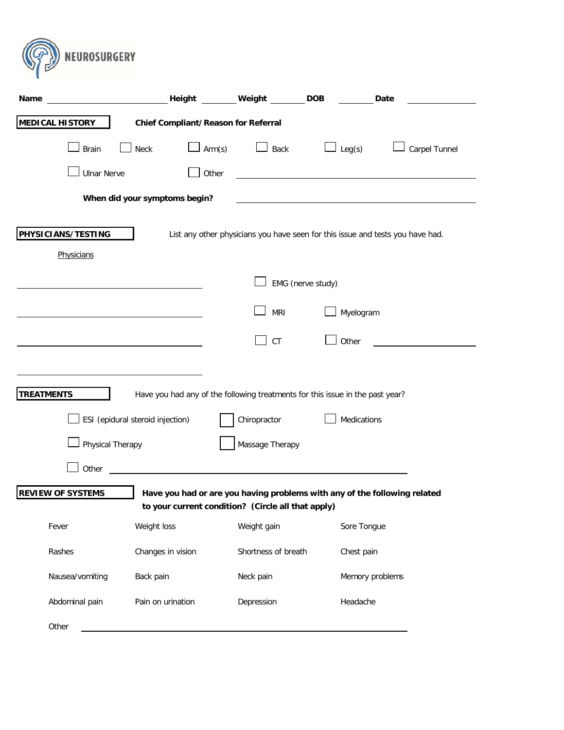

| Name                             |                                                                                                                   | Height Weight                                                                                                                   | <b>DOB</b>        | Date          |
|----------------------------------|-------------------------------------------------------------------------------------------------------------------|---------------------------------------------------------------------------------------------------------------------------------|-------------------|---------------|
| <b>MEDICAL HISTORY</b>           | <b>Chief Compliant/Reason for Referral</b>                                                                        |                                                                                                                                 |                   |               |
| <b>Brain</b>                     | Arm(s)<br>Neck                                                                                                    | Back                                                                                                                            | Leg(s)            | Carpel Tunnel |
| <b>Ulnar Nerve</b>               | Other                                                                                                             |                                                                                                                                 |                   |               |
|                                  | When did your symptoms begin?                                                                                     |                                                                                                                                 |                   |               |
| PHYSICIANS/TESTING<br>Physicians |                                                                                                                   | List any other physicians you have seen for this issue and tests you have had.                                                  |                   |               |
|                                  |                                                                                                                   |                                                                                                                                 | EMG (nerve study) |               |
|                                  |                                                                                                                   | <b>MRI</b>                                                                                                                      | Myelogram         |               |
|                                  |                                                                                                                   | <b>CT</b>                                                                                                                       | Other             |               |
| <b>TREATMENTS</b>                | Have you had any of the following treatments for this issue in the past year?<br>ESI (epidural steroid injection) | Chiropractor                                                                                                                    | Medications       |               |
| Physical Therapy                 |                                                                                                                   | Massage Therapy                                                                                                                 |                   |               |
| Other                            | <u> 1989 - Johann Barbara, martin amerikan ba</u>                                                                 |                                                                                                                                 |                   |               |
| <b>REVIEW OF SYSTEMS</b>         |                                                                                                                   | Have you had or are you having problems with any of the following related<br>to your current condition? (Circle all that apply) |                   |               |
| Fever                            | Weight loss                                                                                                       | Weight gain                                                                                                                     | Sore Tongue       |               |
| Rashes                           | Changes in vision                                                                                                 | Shortness of breath                                                                                                             | Chest pain        |               |
| Nausea/vomiting                  | Back pain                                                                                                         | Neck pain                                                                                                                       | Memory problems   |               |
| Abdominal pain                   | Pain on urination                                                                                                 | Depression                                                                                                                      | Headache          |               |
| Other                            |                                                                                                                   |                                                                                                                                 |                   |               |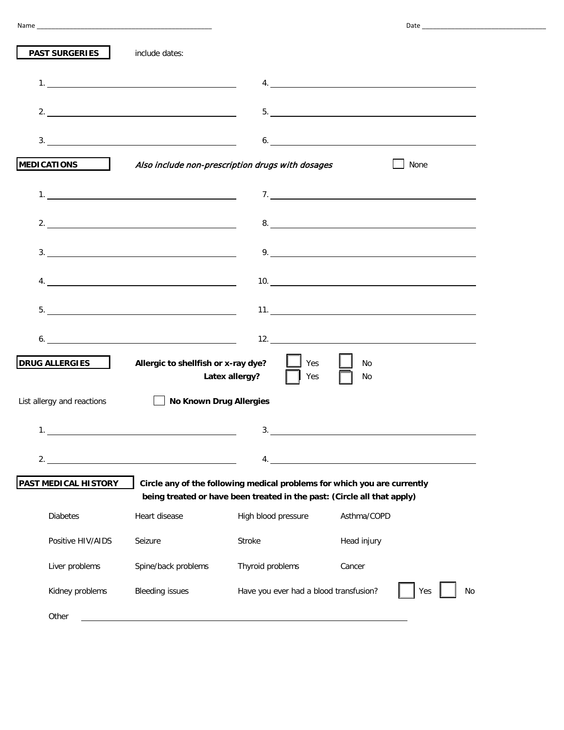| <b>PAST SURGERIES</b>      | include dates:                                                                                                      |                                                                         |                                                                                                                                                                                                                                                                                                                                                                                                                  |  |
|----------------------------|---------------------------------------------------------------------------------------------------------------------|-------------------------------------------------------------------------|------------------------------------------------------------------------------------------------------------------------------------------------------------------------------------------------------------------------------------------------------------------------------------------------------------------------------------------------------------------------------------------------------------------|--|
|                            |                                                                                                                     |                                                                         |                                                                                                                                                                                                                                                                                                                                                                                                                  |  |
|                            | 2. $\overline{\phantom{a}}$                                                                                         |                                                                         |                                                                                                                                                                                                                                                                                                                                                                                                                  |  |
|                            |                                                                                                                     |                                                                         |                                                                                                                                                                                                                                                                                                                                                                                                                  |  |
|                            |                                                                                                                     | MEDICATIONS Also include non-prescription drugs with dosages            | None                                                                                                                                                                                                                                                                                                                                                                                                             |  |
|                            |                                                                                                                     |                                                                         | 7.                                                                                                                                                                                                                                                                                                                                                                                                               |  |
|                            | 2. $\overline{\phantom{a}}$                                                                                         |                                                                         |                                                                                                                                                                                                                                                                                                                                                                                                                  |  |
|                            | 3.                                                                                                                  |                                                                         | 9. $\frac{1}{\sqrt{1-\frac{1}{2}}\sqrt{1-\frac{1}{2}}\sqrt{1-\frac{1}{2}}\sqrt{1-\frac{1}{2}}\sqrt{1-\frac{1}{2}}\sqrt{1-\frac{1}{2}}\sqrt{1-\frac{1}{2}}\sqrt{1-\frac{1}{2}}\sqrt{1-\frac{1}{2}}\sqrt{1-\frac{1}{2}}\sqrt{1-\frac{1}{2}}\sqrt{1-\frac{1}{2}}\sqrt{1-\frac{1}{2}}\sqrt{1-\frac{1}{2}}\sqrt{1-\frac{1}{2}}\sqrt{1-\frac{1}{2}}\sqrt{1-\frac{1}{2}}\sqrt{1-\frac{1}{2}}\sqrt{1-\frac{1}{2}}\sqrt{$ |  |
|                            | 4.                                                                                                                  |                                                                         |                                                                                                                                                                                                                                                                                                                                                                                                                  |  |
|                            |                                                                                                                     |                                                                         |                                                                                                                                                                                                                                                                                                                                                                                                                  |  |
| 6.                         | <u> 1980 - Johann Barn, mars eta bainar eta bat erroman erroman erroman erroman erroman erroman erroman erroman</u> |                                                                         |                                                                                                                                                                                                                                                                                                                                                                                                                  |  |
| <b>DRUG ALLERGIES</b>      | Allergic to shellfish or x-ray dye?                                                                                 | $\Box$ Yes<br>Latex allergy? $\Box$<br>Yes                              | No<br>No                                                                                                                                                                                                                                                                                                                                                                                                         |  |
| List allergy and reactions | <b>No Known Drug Allergies</b>                                                                                      |                                                                         |                                                                                                                                                                                                                                                                                                                                                                                                                  |  |
| $\mathbf{1}$ .             |                                                                                                                     | 3.                                                                      |                                                                                                                                                                                                                                                                                                                                                                                                                  |  |
|                            | 2. $\qquad \qquad$                                                                                                  | 4.                                                                      | <u> 1980 - Johann Barn, mars ann an t-Amhain Aonaich an t-Aonaich an t-Aonaich ann an t-Aonaich ann an t-Aonaich</u>                                                                                                                                                                                                                                                                                             |  |
| PAST MEDICAL HISTORY       |                                                                                                                     | being treated or have been treated in the past: (Circle all that apply) | Circle any of the following medical problems for which you are currently                                                                                                                                                                                                                                                                                                                                         |  |
| <b>Diabetes</b>            | Heart disease                                                                                                       | High blood pressure                                                     | Asthma/COPD                                                                                                                                                                                                                                                                                                                                                                                                      |  |
| Positive HIV/AIDS          | Seizure                                                                                                             | Stroke                                                                  | Head injury                                                                                                                                                                                                                                                                                                                                                                                                      |  |
| Liver problems             | Spine/back problems                                                                                                 | Thyroid problems                                                        | Cancer                                                                                                                                                                                                                                                                                                                                                                                                           |  |
| Kidney problems            | <b>Bleeding issues</b>                                                                                              | Have you ever had a blood transfusion?                                  | No<br>Yes                                                                                                                                                                                                                                                                                                                                                                                                        |  |
| Other                      |                                                                                                                     |                                                                         |                                                                                                                                                                                                                                                                                                                                                                                                                  |  |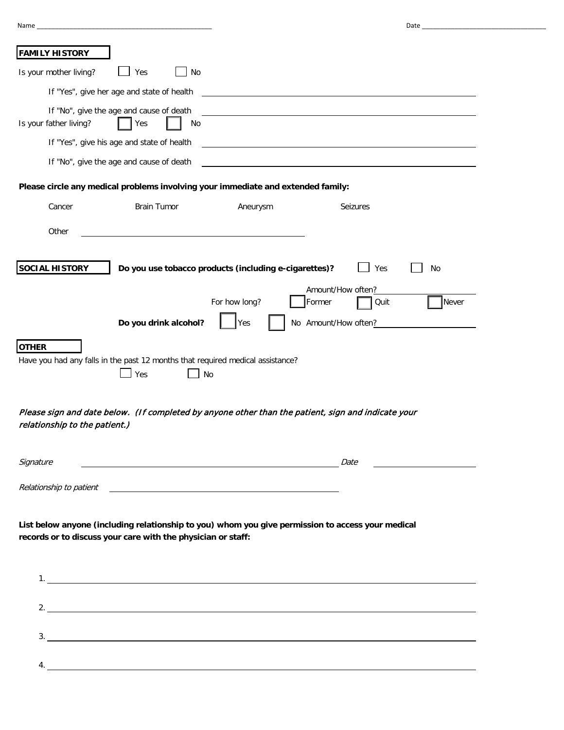| Name                                                                                                        | Date and the contract of the contract of the contract of the contract of the contract of the contract of the contract of the contract of the contract of the contract of the contract of the contract of the contract of the c |
|-------------------------------------------------------------------------------------------------------------|--------------------------------------------------------------------------------------------------------------------------------------------------------------------------------------------------------------------------------|
|                                                                                                             |                                                                                                                                                                                                                                |
| <b>FAMILY HISTORY</b>                                                                                       |                                                                                                                                                                                                                                |
| Is your mother living?<br>Yes<br><b>No</b>                                                                  |                                                                                                                                                                                                                                |
| If "Yes", give her age and state of health                                                                  | <u> 1980 - Jan Alexandri, fizikar matematika (h. 1980).</u>                                                                                                                                                                    |
| If "No", give the age and cause of death<br>Is your father living?<br>Yes<br>No                             |                                                                                                                                                                                                                                |
| If "Yes", give his age and state of health                                                                  | and the control of the control of the control of the control of the control of the control of the control of the                                                                                                               |
| If "No", give the age and cause of death                                                                    |                                                                                                                                                                                                                                |
| Please circle any medical problems involving your immediate and extended family:                            |                                                                                                                                                                                                                                |
| Cancer<br><b>Brain Tumor</b>                                                                                | Aneurysm<br>Seizures                                                                                                                                                                                                           |
| Other                                                                                                       |                                                                                                                                                                                                                                |
| <b>SOCIAL HISTORY</b>                                                                                       | Do you use tobacco products (including e-cigarettes)?<br>Yes<br><b>No</b><br>Amount/How often?                                                                                                                                 |
|                                                                                                             | For how long?<br>Quit<br>Never<br>Former                                                                                                                                                                                       |
| Do you drink alcohol?                                                                                       | Yes<br>No Amount/How often?                                                                                                                                                                                                    |
| <b>OTHER</b><br>Have you had any falls in the past 12 months that required medical assistance?<br>Yes<br>No |                                                                                                                                                                                                                                |
| relationship to the patient.)                                                                               | Please sign and date below. (If completed by anyone other than the patient, sign and indicate your                                                                                                                             |
| Signature                                                                                                   | Date                                                                                                                                                                                                                           |

**List below anyone (including relationship to you) whom you give permission to access your medical records or to discuss your care with the physician or staff:**

<u> 1980 - Johann Barn, mars ann an t-Amhain Aonaich an t-Aonaich an t-Aonaich an t-Aonaich an t-Aonaich an t-Aon</u>

Relationship to patient

| 2. |  |
|----|--|
|    |  |
|    |  |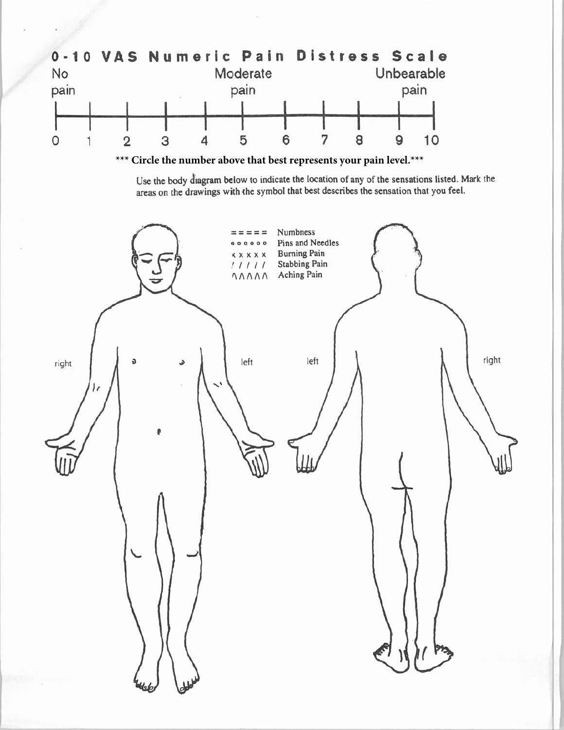